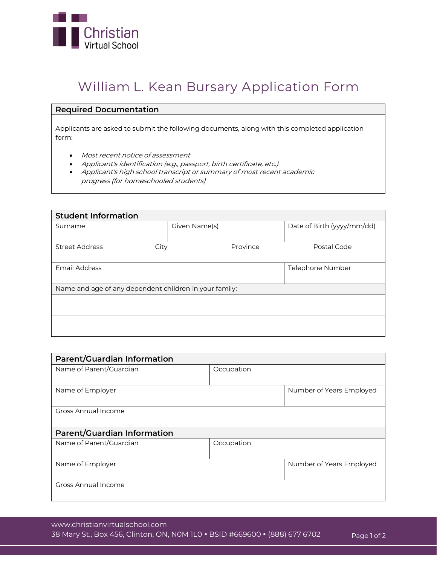

# **William L. Kean Bursary Application Form**

#### **Required Documentation**

Applicants are asked to submit the following documents, along with this completed application form:

- Most recent notice of assessment
- Applicant's identification (e.g., passport, birth certificate, etc.)
- Applicant's high school transcript or summary of most recent academic progress (for homeschooled students)

| <b>Student Information</b>                             |               |                            |  |  |
|--------------------------------------------------------|---------------|----------------------------|--|--|
| Surname                                                | Given Name(s) | Date of Birth (yyyy/mm/dd) |  |  |
|                                                        |               |                            |  |  |
| <b>Street Address</b><br>City                          | Province      | Postal Code                |  |  |
|                                                        |               |                            |  |  |
| Email Address                                          |               | Telephone Number           |  |  |
|                                                        |               |                            |  |  |
| Name and age of any dependent children in your family: |               |                            |  |  |
|                                                        |               |                            |  |  |
|                                                        |               |                            |  |  |
|                                                        |               |                            |  |  |
|                                                        |               |                            |  |  |

| <b>Parent/Guardian Information</b> |            |                          |
|------------------------------------|------------|--------------------------|
| Name of Parent/Guardian            | Occupation |                          |
| Name of Employer                   |            | Number of Years Employed |
| Gross Annual Income                |            |                          |
| <b>Parent/Guardian Information</b> |            |                          |
| Name of Parent/Guardian            | Occupation |                          |
| Name of Employer                   |            | Number of Years Employed |
| Gross Annual Income                |            |                          |